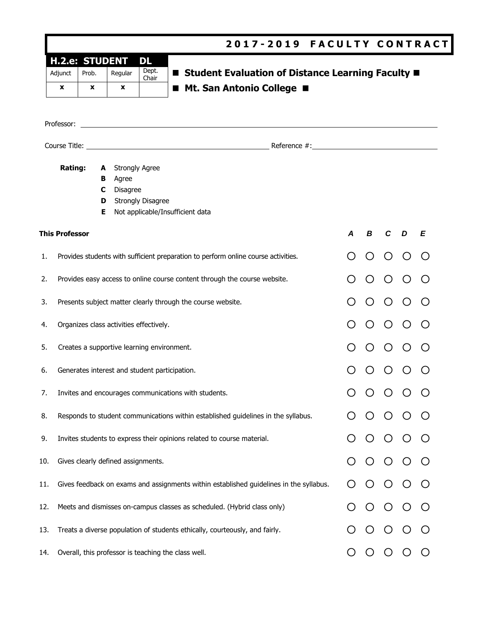|                                       |                                                                                        |                   |                                                   | 2017-2019 FACULTY CONTRACT                                                         |                  |   |                  |                |         |
|---------------------------------------|----------------------------------------------------------------------------------------|-------------------|---------------------------------------------------|------------------------------------------------------------------------------------|------------------|---|------------------|----------------|---------|
| <b>H.2.e: STUDENT</b><br>Adjunct<br>x | Prob.<br>x                                                                             | Regular<br>x      | DL<br>Dept.<br>Chair                              | ■ Student Evaluation of Distance Learning Faculty ■<br>■ Mt. San Antonio College ■ |                  |   |                  |                |         |
| Professor:                            |                                                                                        |                   |                                                   |                                                                                    |                  |   |                  |                |         |
| Rating:                               | A<br>В<br>C<br>D<br>Ε                                                                  | Agree<br>Disagree | <b>Strongly Agree</b><br><b>Strongly Disagree</b> | Not applicable/Insufficient data                                                   |                  |   |                  |                |         |
| <b>This Professor</b>                 |                                                                                        |                   |                                                   |                                                                                    | $\boldsymbol{A}$ | B | C                | $\overline{D}$ | E       |
| 1.                                    |                                                                                        |                   |                                                   | Provides students with sufficient preparation to perform online course activities. |                  |   | ()               |                |         |
| 2.                                    |                                                                                        |                   |                                                   | Provides easy access to online course content through the course website.          |                  |   |                  |                |         |
|                                       |                                                                                        |                   |                                                   | Presents subject matter clearly through the course website.                        |                  |   | ()               |                |         |
|                                       | Organizes class activities effectively.                                                |                   |                                                   |                                                                                    |                  |   | $\left( \right)$ |                |         |
| 5.                                    | Creates a supportive learning environment.                                             |                   |                                                   |                                                                                    |                  |   |                  |                |         |
| 6.                                    | Generates interest and student participation.                                          |                   |                                                   |                                                                                    |                  |   |                  |                |         |
| 7.                                    |                                                                                        |                   |                                                   | Invites and encourages communications with students.                               |                  |   |                  |                |         |
| 8.                                    |                                                                                        |                   |                                                   | Responds to student communications within established guidelines in the syllabus.  |                  |   |                  |                |         |
| 9.                                    |                                                                                        |                   |                                                   | Invites students to express their opinions related to course material.             |                  |   |                  |                |         |
| 10.                                   | Gives clearly defined assignments.                                                     |                   |                                                   |                                                                                    |                  |   |                  |                |         |
| 11.                                   | Gives feedback on exams and assignments within established guidelines in the syllabus. |                   |                                                   |                                                                                    |                  |   |                  |                |         |
| 12.                                   |                                                                                        |                   |                                                   | Meets and dismisses on-campus classes as scheduled. (Hybrid class only)            |                  |   |                  |                |         |
| 13.                                   | Treats a diverse population of students ethically, courteously, and fairly.            |                   |                                                   |                                                                                    |                  |   |                  |                |         |
| 14.                                   |                                                                                        |                   |                                                   | Overall, this professor is teaching the class well.                                |                  | O | $\circ$          |                | $\circ$ |